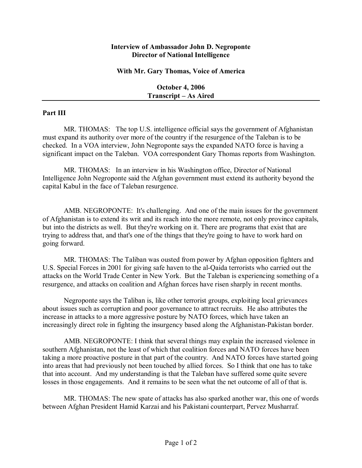## **Interview of Ambassador John D. Negroponte Director of National Intelligence**

## **With Mr. Gary Thomas, Voice of America**

**October 4, 2006 Transcript – As Aired** 

## **Part III**

MR. THOMAS: The top U.S. intelligence official says the government of Afghanistan must expand its authority over more of the country if the resurgence of the Taleban is to be checked. In a VOA interview, John Negroponte says the expanded NATO force is having a significant impact on the Taleban. VOA correspondent Gary Thomas reports from Washington.

MR. THOMAS: In an interview in his Washington office, Director of National Intelligence John Negroponte said the Afghan government must extend its authority beyond the capital Kabul in the face of Taleban resurgence.

AMB. NEGROPONTE: It's challenging. And one of the main issues for the government of Afghanistan is to extend its writ and its reach into the more remote, not only province capitals, but into the districts as well. But they're working on it. There are programs that exist that are trying to address that, and that's one of the things that they're going to have to work hard on going forward.

MR. THOMAS: The Taliban was ousted from power by Afghan opposition fighters and U.S. Special Forces in 2001 for giving safe haven to the al-Qaida terrorists who carried out the attacks on the World Trade Center in New York. But the Taleban is experiencing something of a resurgence, and attacks on coalition and Afghan forces have risen sharply in recent months.

Negroponte says the Taliban is, like other terrorist groups, exploiting local grievances about issues such as corruption and poor governance to attract recruits. He also attributes the increase in attacks to a more aggressive posture by NATO forces, which have taken an increasingly direct role in fighting the insurgency based along the Afghanistan-Pakistan border.

AMB. NEGROPONTE: I think that several things may explain the increased violence in southern Afghanistan, not the least of which that coalition forces and NATO forces have been taking a more proactive posture in that part of the country. And NATO forces have started going into areas that had previously not been touched by allied forces. So I think that one has to take that into account. And my understanding is that the Taleban have suffered some quite severe losses in those engagements. And it remains to be seen what the net outcome of all of that is.

MR. THOMAS: The new spate of attacks has also sparked another war, this one of words between Afghan President Hamid Karzai and his Pakistani counterpart, Pervez Musharraf.